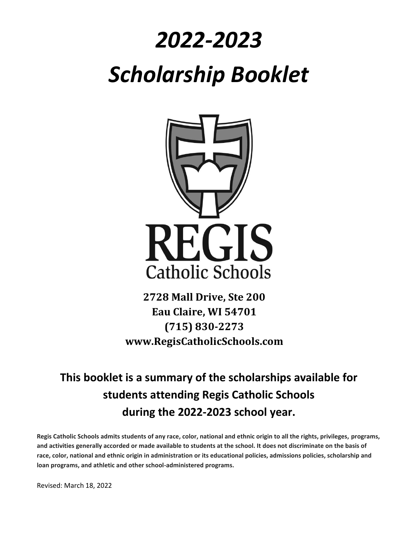# *2022-2023 Scholarship Booklet*



**2728 Mall Drive, Ste 200 Eau Claire, WI 54701 (715) 830-2273 www.RegisCatholicSchools.com**

# **This booklet is a summary of the scholarships available for students attending Regis Catholic Schools during the 2022-2023 school year.**

**Regis Catholic Schools admits students of any race, color, national and ethnic origin to all the rights, privileges, programs, and activities generally accorded or made available to students at the school. It does not discriminate on the basis of race, color, national and ethnic origin in administration or its educational policies, admissions policies, scholarship and loan programs, and athletic and other school-administered programs.**

Revised: March 18, 2022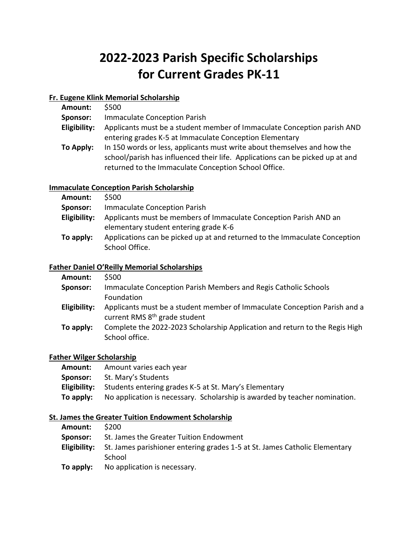# **2022-2023 Parish Specific Scholarships for Current Grades PK-11**

# **Fr. Eugene Klink Memorial Scholarship**

| Amount:      | \$500                                                                         |
|--------------|-------------------------------------------------------------------------------|
| Sponsor:     | <b>Immaculate Conception Parish</b>                                           |
| Eligibility: | Applicants must be a student member of Immaculate Conception parish AND       |
|              | entering grades K-5 at Immaculate Conception Elementary                       |
| To Apply:    | In 150 words or less, applicants must write about themselves and how the      |
|              | school/parish has influenced their life. Applications can be picked up at and |
|              | returned to the Immaculate Conception School Office.                          |

# **Immaculate Conception Parish Scholarship**

| <b>Amount:</b> | \$500                                                                                                      |
|----------------|------------------------------------------------------------------------------------------------------------|
| Sponsor:       | Immaculate Conception Parish                                                                               |
| Eligibility:   | Applicants must be members of Immaculate Conception Parish AND an<br>elementary student entering grade K-6 |
| To apply:      | Applications can be picked up at and returned to the Immaculate Conception<br>School Office.               |

#### **Father Daniel O'Reilly Memorial Scholarships**

| Amount:      | \$500                                                                                                                  |
|--------------|------------------------------------------------------------------------------------------------------------------------|
| Sponsor:     | Immaculate Conception Parish Members and Regis Catholic Schools                                                        |
|              | Foundation                                                                                                             |
| Eligibility: | Applicants must be a student member of Immaculate Conception Parish and a<br>current RMS 8 <sup>th</sup> grade student |
| To apply:    | Complete the 2022-2023 Scholarship Application and return to the Regis High<br>School office.                          |

# **Father Wilger Scholarship**

| Amount:   | Amount varies each year                                                    |
|-----------|----------------------------------------------------------------------------|
| Sponsor:  | St. Mary's Students                                                        |
|           | <b>Eligibility:</b> Students entering grades K-5 at St. Mary's Elementary  |
| To apply: | No application is necessary. Scholarship is awarded by teacher nomination. |

# **St. James the Greater Tuition Endowment Scholarship**

| <b>Amount:</b> | - S200                                                                                                   |
|----------------|----------------------------------------------------------------------------------------------------------|
| Sponsor:       | St. James the Greater Tuition Endowment                                                                  |
|                | <b>Eligibility:</b> St. James parishioner entering grades 1-5 at St. James Catholic Elementary<br>School |
| To apply:      | No application is necessary.                                                                             |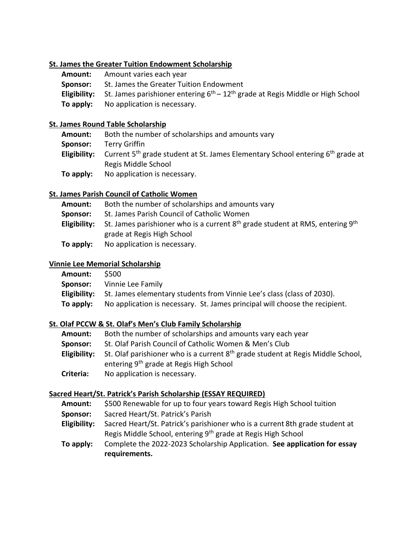#### **St. James the Greater Tuition Endowment Scholarship**

| Amount:  | Amount varies each year                                                                              |
|----------|------------------------------------------------------------------------------------------------------|
| Sponsor: | St. James the Greater Tuition Endowment                                                              |
|          | <b>Eligibility:</b> St. James parishioner entering $6th - 12th$ grade at Regis Middle or High School |
|          | <b>To apply:</b> No application is necessary.                                                        |

#### **St. James Round Table Scholarship**

| Amount:   | Both the number of scholarships and amounts vary                                                                           |
|-----------|----------------------------------------------------------------------------------------------------------------------------|
| Sponsor:  | Terry Griffin                                                                                                              |
|           | <b>Eligibility:</b> Current 5 <sup>th</sup> grade student at St. James Elementary School entering 6 <sup>th</sup> grade at |
|           | Regis Middle School                                                                                                        |
| To apply: | No application is necessary.                                                                                               |

# **St. James Parish Council of Catholic Women**

| Amount:      | Both the number of scholarships and amounts vary                                                                      |
|--------------|-----------------------------------------------------------------------------------------------------------------------|
| Sponsor:     | St. James Parish Council of Catholic Women                                                                            |
| Eligibility: | St. James parishioner who is a current $8^{th}$ grade student at RMS, entering $9^{th}$<br>grade at Regis High School |
| To apply:    | No application is necessary.                                                                                          |

# **Vinnie Lee Memorial Scholarship**

| <b>Amount:</b> | - S500                                                                              |
|----------------|-------------------------------------------------------------------------------------|
|                | <b>Sponsor:</b> Vinnie Lee Family                                                   |
|                | Eligibility: St. James elementary students from Vinnie Lee's class (class of 2030). |
| To apply:      | No application is necessary. St. James principal will choose the recipient.         |

# **St. Olaf PCCW & St. Olaf's Men's Club Family Scholarship**

| <b>Amount:</b> | Both the number of scholarships and amounts vary each year                                                                                         |
|----------------|----------------------------------------------------------------------------------------------------------------------------------------------------|
| Sponsor:       | St. Olaf Parish Council of Catholic Women & Men's Club                                                                                             |
| Eligibility:   | St. Olaf parishioner who is a current 8 <sup>th</sup> grade student at Regis Middle School,<br>entering 9 <sup>th</sup> grade at Regis High School |
| Criteria:      | No application is necessary.                                                                                                                       |

# **Sacred Heart/St. Patrick's Parish Scholarship (ESSAY REQUIRED)**

**Amount:** \$500 Renewable for up to four years toward Regis High School tuition

- **Sponsor:** Sacred Heart/St. Patrick's Parish
- **Eligibility:** Sacred Heart/St. Patrick's parishioner who is a current 8th grade student at Regis Middle School, entering 9<sup>th</sup> grade at Regis High School
- **To apply:** Complete the 2022-2023 Scholarship Application. **See application for essay requirements.**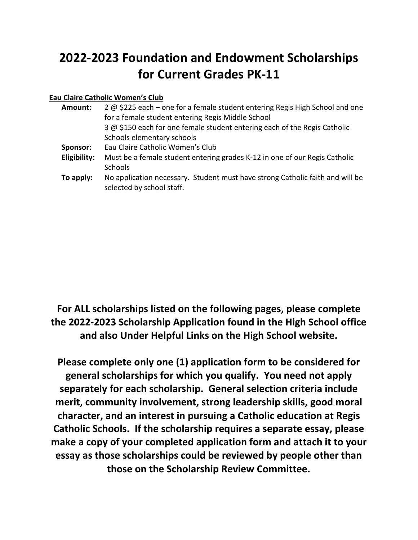# **2022-2023 Foundation and Endowment Scholarships for Current Grades PK-11**

# **Eau Claire Catholic Women's Club**

| Amount:      | 2 @ \$225 each – one for a female student entering Regis High School and one<br>for a female student entering Regis Middle School |
|--------------|-----------------------------------------------------------------------------------------------------------------------------------|
|              | 3 @ \$150 each for one female student entering each of the Regis Catholic                                                         |
|              | Schools elementary schools                                                                                                        |
| Sponsor:     | Eau Claire Catholic Women's Club                                                                                                  |
| Eligibility: | Must be a female student entering grades K-12 in one of our Regis Catholic<br><b>Schools</b>                                      |
| To apply:    | No application necessary. Student must have strong Catholic faith and will be<br>selected by school staff.                        |

# **For ALL scholarships listed on the following pages, please complete the 2022-2023 Scholarship Application found in the High School office and also Under Helpful Links on the High School website.**

**Please complete only one (1) application form to be considered for general scholarships for which you qualify. You need not apply separately for each scholarship. General selection criteria include merit, community involvement, strong leadership skills, good moral character, and an interest in pursuing a Catholic education at Regis Catholic Schools. If the scholarship requires a separate essay, please make a copy of your completed application form and attach it to your essay as those scholarships could be reviewed by people other than those on the Scholarship Review Committee.**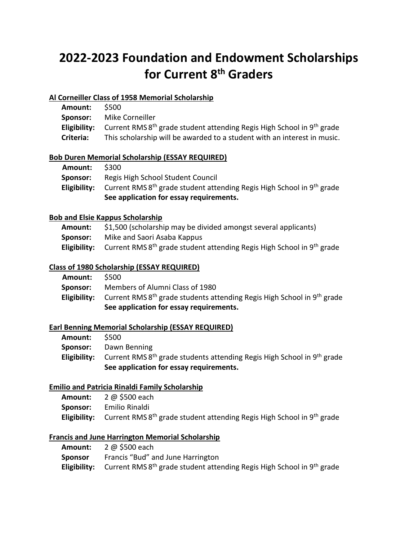# **2022-2023 Foundation and Endowment Scholarships for Current 8th Graders**

# **Al Corneiller Class of 1958 Memorial Scholarship**

| Amount:   | <b>S500</b>                                                                                    |
|-----------|------------------------------------------------------------------------------------------------|
| Sponsor:  | Mike Corneiller                                                                                |
|           | <b>Eligibility:</b> Current RMS $8th$ grade student attending Regis High School in $9th$ grade |
| Criteria: | This scholarship will be awarded to a student with an interest in music.                       |

# **Bob Duren Memorial Scholarship (ESSAY REQUIRED)**

|          | See application for essay requirements.                                                        |
|----------|------------------------------------------------------------------------------------------------|
|          | <b>Eligibility:</b> Current RMS $8th$ grade student attending Regis High School in $9th$ grade |
| Sponsor: | Regis High School Student Council                                                              |
| Amount:  | <b>S300</b>                                                                                    |

#### **Bob and Elsie Kappus Scholarship**

| <b>Amount:</b> | \$1,500 (scholarship may be divided amongst several applicants)                                |
|----------------|------------------------------------------------------------------------------------------------|
| Sponsor:       | Mike and Saori Asaba Kappus                                                                    |
|                | <b>Eligibility:</b> Current RMS $8th$ grade student attending Regis High School in $9th$ grade |

# **Class of 1980 Scholarship (ESSAY REQUIRED)**

| Amount:  | <b>S500</b>                                                                                     |
|----------|-------------------------------------------------------------------------------------------------|
| Sponsor: | Members of Alumni Class of 1980                                                                 |
|          | <b>Eligibility:</b> Current RMS $8th$ grade students attending Regis High School in $9th$ grade |
|          | See application for essay requirements.                                                         |

# **Earl Benning Memorial Scholarship (ESSAY REQUIRED)**

|         | See application for essay requirements.                                                                             |
|---------|---------------------------------------------------------------------------------------------------------------------|
|         | <b>Eligibility:</b> Current RMS 8 <sup>th</sup> grade students attending Regis High School in 9 <sup>th</sup> grade |
|         | <b>Sponsor:</b> Dawn Benning                                                                                        |
| Amount: | S500                                                                                                                |

# **Emilio and Patricia Rinaldi Family Scholarship**

| <b>Amount:</b>  | 2 @ \$500 each                                                                                 |
|-----------------|------------------------------------------------------------------------------------------------|
| <b>Sponsor:</b> | Emilio Rinaldi                                                                                 |
|                 | <b>Eligibility:</b> Current RMS $8th$ grade student attending Regis High School in $9th$ grade |

# **Francis and June Harrington Memorial Scholarship**

| Amount: | 2 @ \$500 each                                                                                                     |
|---------|--------------------------------------------------------------------------------------------------------------------|
| Sponsor | Francis "Bud" and June Harrington                                                                                  |
|         | <b>Eligibility:</b> Current RMS 8 <sup>th</sup> grade student attending Regis High School in 9 <sup>th</sup> grade |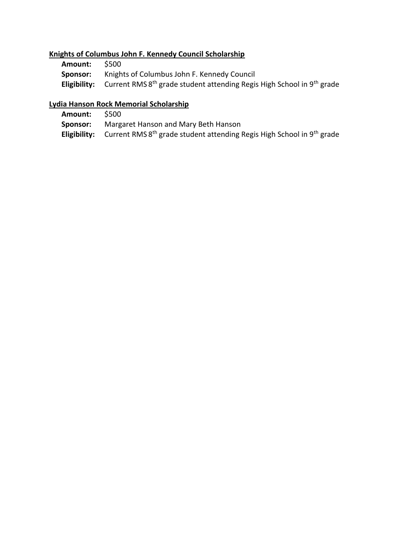# **Knights of Columbus John F. Kennedy Council Scholarship**

| Amount:  | \$500                                                                                                              |
|----------|--------------------------------------------------------------------------------------------------------------------|
| Sponsor: | Knights of Columbus John F. Kennedy Council                                                                        |
|          | <b>Eligibility:</b> Current RMS 8 <sup>th</sup> grade student attending Regis High School in 9 <sup>th</sup> grade |

# **Lydia Hanson Rock Memorial Scholarship**

**Amount:** \$500 **Sponsor:** Margaret Hanson and Mary Beth Hanson Eligibility: Current RMS 8<sup>th</sup> grade student attending Regis High School in 9<sup>th</sup> grade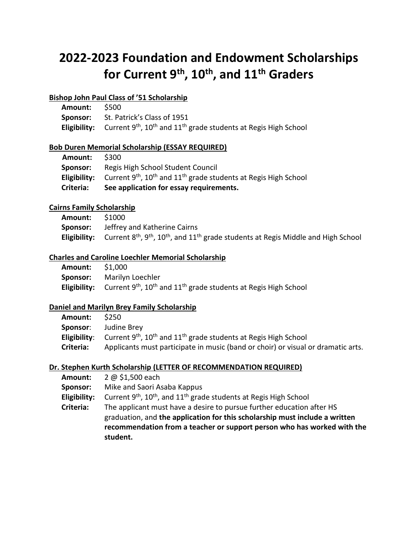# **2022-2023 Foundation and Endowment Scholarships for Current 9th, 10th, and 11th Graders**

#### **Bishop John Paul Class of '51 Scholarship**

| Amount: \$500 |                                                                                                                         |
|---------------|-------------------------------------------------------------------------------------------------------------------------|
|               | <b>Sponsor:</b> St. Patrick's Class of 1951                                                                             |
|               | <b>Eligibility:</b> Current 9 <sup>th</sup> , 10 <sup>th</sup> and 11 <sup>th</sup> grade students at Regis High School |

#### **Bob Duren Memorial Scholarship (ESSAY REQUIRED)**

| Amount:      | S300                                                                                                |
|--------------|-----------------------------------------------------------------------------------------------------|
| Sponsor:     | Regis High School Student Council                                                                   |
| Eligibility: | Current 9 <sup>th</sup> , 10 <sup>th</sup> and 11 <sup>th</sup> grade students at Regis High School |
| Criteria:    | See application for essay requirements.                                                             |

#### **Cairns Family Scholarship**

| Amount: | \$1000                                                                                                                                                 |
|---------|--------------------------------------------------------------------------------------------------------------------------------------------------------|
|         | <b>Sponsor:</b> Jeffrey and Katherine Cairns                                                                                                           |
|         | <b>Eligibility:</b> Current 8 <sup>th</sup> , 9 <sup>th</sup> , 10 <sup>th</sup> , and 11 <sup>th</sup> grade students at Regis Middle and High School |

# **Charles and Caroline Loechler Memorial Scholarship**

| Amount: | S1.000                                                                                                                  |
|---------|-------------------------------------------------------------------------------------------------------------------------|
|         | <b>Sponsor:</b> Marilyn Loechler                                                                                        |
|         | <b>Eligibility:</b> Current 9 <sup>th</sup> , 10 <sup>th</sup> and 11 <sup>th</sup> grade students at Regis High School |

#### **Daniel and Marilyn Brey Family Scholarship**

| <b>Amount:</b> | S <sub>250</sub>                                                                                                        |
|----------------|-------------------------------------------------------------------------------------------------------------------------|
| Sponsor:       | Judine Brey                                                                                                             |
|                | <b>Eligibility:</b> Current 9 <sup>th</sup> , 10 <sup>th</sup> and 11 <sup>th</sup> grade students at Regis High School |
| Criteria:      | Applicants must participate in music (band or choir) or visual or dramatic arts.                                        |

#### **Dr. Stephen Kurth Scholarship (LETTER OF RECOMMENDATION REQUIRED)**

| Amount:      | 2 @ \$1,500 each                                                                                                                                                                                                                            |
|--------------|---------------------------------------------------------------------------------------------------------------------------------------------------------------------------------------------------------------------------------------------|
| Sponsor:     | Mike and Saori Asaba Kappus                                                                                                                                                                                                                 |
| Eligibility: | Current $9th$ , $10th$ , and $11th$ grade students at Regis High School                                                                                                                                                                     |
| Criteria:    | The applicant must have a desire to pursue further education after HS<br>graduation, and the application for this scholarship must include a written<br>recommendation from a teacher or support person who has worked with the<br>student. |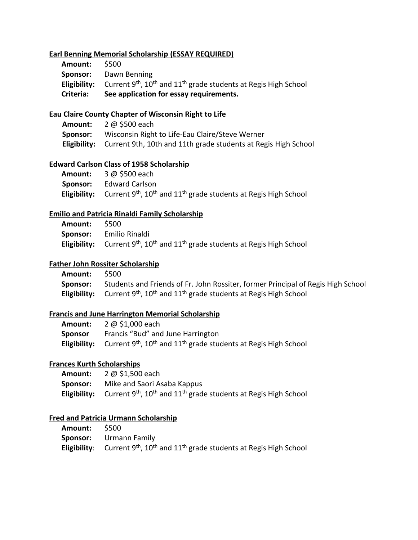#### **Earl Benning Memorial Scholarship (ESSAY REQUIRED)**

| Criteria:      | See application for essay requirements.                                                                                 |
|----------------|-------------------------------------------------------------------------------------------------------------------------|
|                | <b>Eligibility:</b> Current 9 <sup>th</sup> , 10 <sup>th</sup> and 11 <sup>th</sup> grade students at Regis High School |
|                | <b>Sponsor:</b> Dawn Benning                                                                                            |
| <b>Amount:</b> | - S500                                                                                                                  |

# **Eau Claire County Chapter of Wisconsin Right to Life**

| Amount:  | 2 @ \$500 each                                                              |
|----------|-----------------------------------------------------------------------------|
| Sponsor: | Wisconsin Right to Life-Eau Claire/Steve Werner                             |
|          | Eligibility: Current 9th, 10th and 11th grade students at Regis High School |

#### **Edward Carlson Class of 1958 Scholarship**

| Amount: | 3 @ \$500 each                                                                                                          |
|---------|-------------------------------------------------------------------------------------------------------------------------|
|         | <b>Sponsor:</b> Edward Carlson                                                                                          |
|         | <b>Eligibility:</b> Current 9 <sup>th</sup> , 10 <sup>th</sup> and 11 <sup>th</sup> grade students at Regis High School |

# **Emilio and Patricia Rinaldi Family Scholarship**

| Amount: | - S500                                                                                                                  |
|---------|-------------------------------------------------------------------------------------------------------------------------|
|         | <b>Sponsor:</b> Emilio Rinaldi                                                                                          |
|         | <b>Eligibility:</b> Current 9 <sup>th</sup> , 10 <sup>th</sup> and 11 <sup>th</sup> grade students at Regis High School |

# **Father John Rossiter Scholarship**

| Amount:  | \$500                                                                                              |
|----------|----------------------------------------------------------------------------------------------------|
| Sponsor: | Students and Friends of Fr. John Rossiter, former Principal of Regis High School                   |
|          | <b>Eligibility:</b> Current $9^{th}$ , $10^{th}$ and $11^{th}$ grade students at Regis High School |

#### **Francis and June Harrington Memorial Scholarship**

| Amount:        | 2 @ \$1,000 each                                                                                                        |
|----------------|-------------------------------------------------------------------------------------------------------------------------|
| <b>Sponsor</b> | Francis "Bud" and June Harrington                                                                                       |
|                | <b>Eligibility:</b> Current 9 <sup>th</sup> , 10 <sup>th</sup> and 11 <sup>th</sup> grade students at Regis High School |

#### **Frances Kurth Scholarships**

| <b>Amount:</b>  | 2 @ \$1,500 each                                                                                                        |
|-----------------|-------------------------------------------------------------------------------------------------------------------------|
| <b>Sponsor:</b> | Mike and Saori Asaba Kappus                                                                                             |
|                 | <b>Eligibility:</b> Current 9 <sup>th</sup> , 10 <sup>th</sup> and 11 <sup>th</sup> grade students at Regis High School |

#### **Fred and Patricia Urmann Scholarship**

| Amount: \$500 |                                                                                                                         |
|---------------|-------------------------------------------------------------------------------------------------------------------------|
|               | <b>Sponsor:</b> Urmann Family                                                                                           |
|               | <b>Eligibility:</b> Current 9 <sup>th</sup> , 10 <sup>th</sup> and 11 <sup>th</sup> grade students at Regis High School |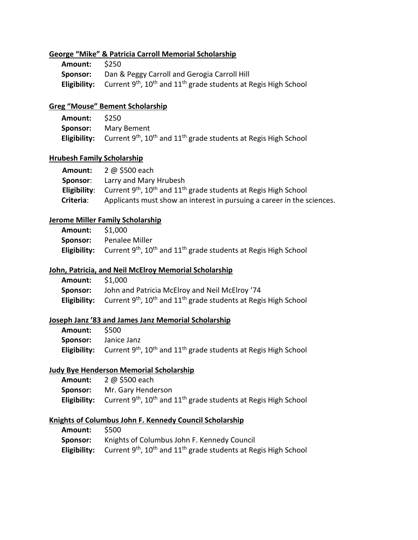#### **George "Mike" & Patricia Carroll Memorial Scholarship**

| Amount: | S250                                                                                                                    |
|---------|-------------------------------------------------------------------------------------------------------------------------|
|         | <b>Sponsor:</b> Dan & Peggy Carroll and Gerogia Carroll Hill                                                            |
|         | <b>Eligibility:</b> Current 9 <sup>th</sup> , 10 <sup>th</sup> and 11 <sup>th</sup> grade students at Regis High School |

# **Greg "Mouse" Bement Scholarship**

| <b>Amount:</b> | S250                                                                                                                    |
|----------------|-------------------------------------------------------------------------------------------------------------------------|
|                | <b>Sponsor:</b> Mary Bement                                                                                             |
|                | <b>Eligibility:</b> Current 9 <sup>th</sup> , 10 <sup>th</sup> and 11 <sup>th</sup> grade students at Regis High School |

#### **Hrubesh Family Scholarship**

|           | <b>Amount:</b> $2 \text{ } \textcircled{a}$ \$500 each                                                                  |
|-----------|-------------------------------------------------------------------------------------------------------------------------|
| Sponsor:  | Larry and Mary Hrubesh                                                                                                  |
|           | <b>Eligibility:</b> Current 9 <sup>th</sup> , 10 <sup>th</sup> and 11 <sup>th</sup> grade students at Regis High School |
| Criteria: | Applicants must show an interest in pursuing a career in the sciences.                                                  |

#### **Jerome Miller Family Scholarship**

| <b>Amount:</b> \$1,000 |                                                                                                                         |
|------------------------|-------------------------------------------------------------------------------------------------------------------------|
|                        | <b>Sponsor:</b> Penalee Miller                                                                                          |
|                        | <b>Eligibility:</b> Current 9 <sup>th</sup> , 10 <sup>th</sup> and 11 <sup>th</sup> grade students at Regis High School |

#### **John, Patricia, and Neil McElroy Memorial Scholarship**

| <b>Amount:</b> | \$1.000                                                                                                                 |
|----------------|-------------------------------------------------------------------------------------------------------------------------|
| Sponsor:       | John and Patricia McElroy and Neil McElroy '74                                                                          |
|                | <b>Eligibility:</b> Current 9 <sup>th</sup> , 10 <sup>th</sup> and 11 <sup>th</sup> grade students at Regis High School |

# **Joseph Janz '83 and James Janz Memorial Scholarship**

| Amount: \$500 |                                                                                                                         |
|---------------|-------------------------------------------------------------------------------------------------------------------------|
|               | <b>Sponsor:</b> Janice Janz                                                                                             |
|               | <b>Eligibility:</b> Current 9 <sup>th</sup> , 10 <sup>th</sup> and 11 <sup>th</sup> grade students at Regis High School |

#### **Judy Bye Henderson Memorial Scholarship**

| Amount: | 2 @ \$500 each                                                                                                          |
|---------|-------------------------------------------------------------------------------------------------------------------------|
|         | <b>Sponsor:</b> Mr. Gary Henderson                                                                                      |
|         | <b>Eligibility:</b> Current 9 <sup>th</sup> , 10 <sup>th</sup> and 11 <sup>th</sup> grade students at Regis High School |

#### **Knights of Columbus John F. Kennedy Council Scholarship**

| <b>Amount:</b> | - S500                                                                                                                  |
|----------------|-------------------------------------------------------------------------------------------------------------------------|
|                | Sponsor: Knights of Columbus John F. Kennedy Council                                                                    |
|                | <b>Eligibility:</b> Current 9 <sup>th</sup> , 10 <sup>th</sup> and 11 <sup>th</sup> grade students at Regis High School |